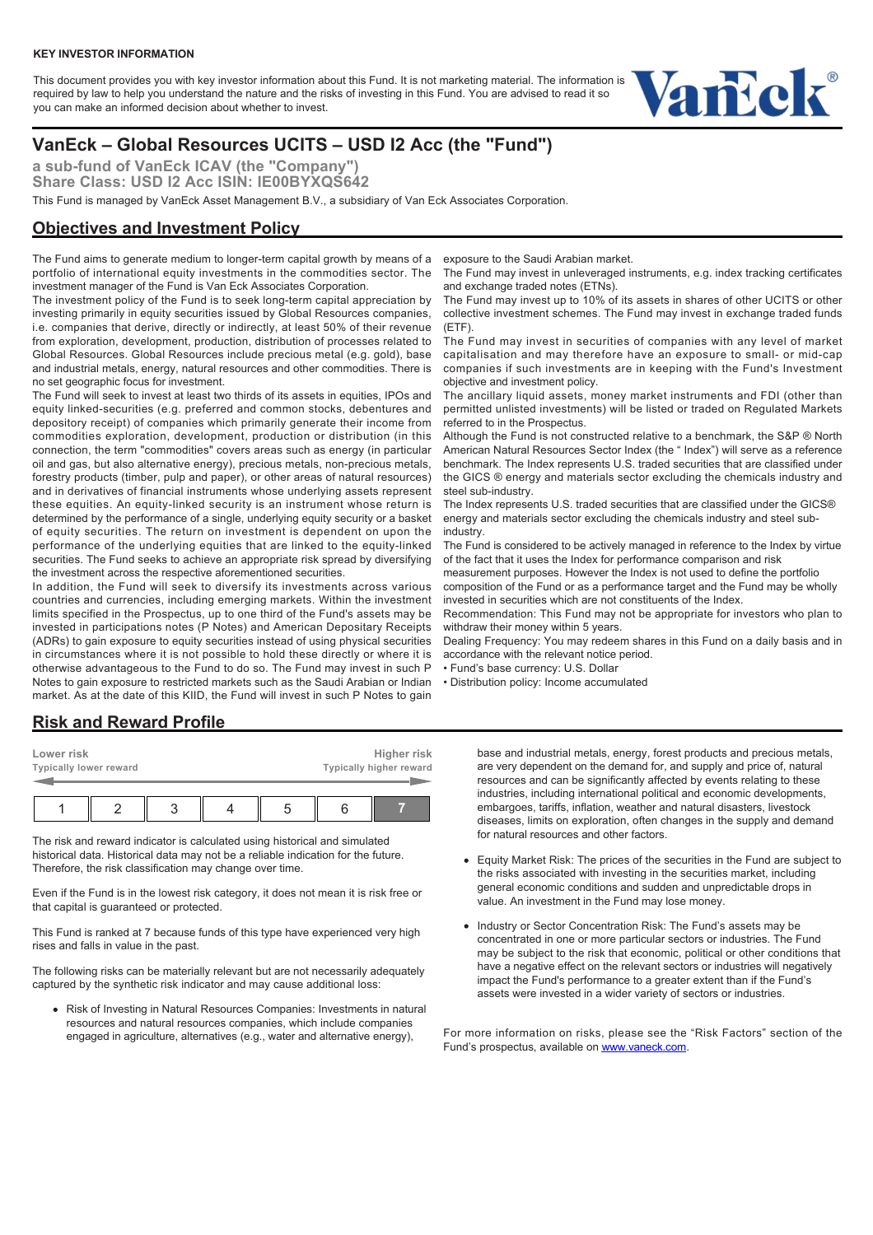This document provides you with key investor information about this Fund. It is not marketing material. The information is required by law to help you understand the nature and the risks of investing in this Fund. You are advised to read it so you can make an informed decision about whether to invest.



# **VanEck – Global Resources UCITS – USD I2 Acc (the "Fund")**

**a sub-fund of VanEck ICAV (the "Company") Share Class: USD I2 Acc ISIN: IE00BYXQS642**

This Fund is managed by VanEck Asset Management B.V., a subsidiary of Van Eck Associates Corporation.

### **Objectives and Investment Policy**

The Fund aims to generate medium to longer-term capital growth by means of a portfolio of international equity investments in the commodities sector. The investment manager of the Fund is Van Eck Associates Corporation.

The investment policy of the Fund is to seek long-term capital appreciation by investing primarily in equity securities issued by Global Resources companies, i.e. companies that derive, directly or indirectly, at least 50% of their revenue from exploration, development, production, distribution of processes related to Global Resources. Global Resources include precious metal (e.g. gold), base and industrial metals, energy, natural resources and other commodities. There is no set geographic focus for investment.

The Fund will seek to invest at least two thirds of its assets in equities, IPOs and equity linked-securities (e.g. preferred and common stocks, debentures and depository receipt) of companies which primarily generate their income from commodities exploration, development, production or distribution (in this connection, the term "commodities" covers areas such as energy (in particular oil and gas, but also alternative energy), precious metals, non-precious metals, forestry products (timber, pulp and paper), or other areas of natural resources) and in derivatives of financial instruments whose underlying assets represent these equities. An equity-linked security is an instrument whose return is determined by the performance of a single, underlying equity security or a basket of equity securities. The return on investment is dependent on upon the performance of the underlying equities that are linked to the equity-linked securities. The Fund seeks to achieve an appropriate risk spread by diversifying the investment across the respective aforementioned securities.

In addition, the Fund will seek to diversify its investments across various countries and currencies, including emerging markets. Within the investment limits specified in the Prospectus, up to one third of the Fund's assets may be invested in participations notes (P Notes) and American Depositary Receipts (ADRs) to gain exposure to equity securities instead of using physical securities in circumstances where it is not possible to hold these directly or where it is otherwise advantageous to the Fund to do so. The Fund may invest in such P Notes to gain exposure to restricted markets such as the Saudi Arabian or Indian market. As at the date of this KIID, the Fund will invest in such P Notes to gain

exposure to the Saudi Arabian market.

The Fund may invest in unleveraged instruments, e.g. index tracking certificates and exchange traded notes (ETNs).

The Fund may invest up to 10% of its assets in shares of other UCITS or other collective investment schemes. The Fund may invest in exchange traded funds  $(FTF)$ 

The Fund may invest in securities of companies with any level of market capitalisation and may therefore have an exposure to small- or mid-cap companies if such investments are in keeping with the Fund's Investment objective and investment policy.

The ancillary liquid assets, money market instruments and FDI (other than permitted unlisted investments) will be listed or traded on Regulated Markets referred to in the Prospectus.

Although the Fund is not constructed relative to a benchmark, the S&P ® North American Natural Resources Sector Index (the " Index") will serve as a reference benchmark. The Index represents U.S. traded securities that are classified under the GICS ® energy and materials sector excluding the chemicals industry and steel sub-industry.

The Index represents U.S. traded securities that are classified under the GICS® energy and materials sector excluding the chemicals industry and steel subindustry.

The Fund is considered to be actively managed in reference to the Index by virtue of the fact that it uses the Index for performance comparison and risk

measurement purposes. However the Index is not used to define the portfolio composition of the Fund or as a performance target and the Fund may be wholly invested in securities which are not constituents of the Index.

Recommendation: This Fund may not be appropriate for investors who plan to withdraw their money within 5 years.

Dealing Frequency: You may redeem shares in this Fund on a daily basis and in accordance with the relevant notice period.

• Fund's base currency: U.S. Dollar

• Distribution policy: Income accumulated

### **Risk and Reward Profile**

| Lower risk<br><b>Typically lower reward</b> |  | Higher risk<br>Typically higher reward |  |  |  |
|---------------------------------------------|--|----------------------------------------|--|--|--|
|                                             |  |                                        |  |  |  |
|                                             |  |                                        |  |  |  |

The risk and reward indicator is calculated using historical and simulated historical data. Historical data may not be a reliable indication for the future. Therefore, the risk classification may change over time.

Even if the Fund is in the lowest risk category, it does not mean it is risk free or that capital is guaranteed or protected.

This Fund is ranked at 7 because funds of this type have experienced very high rises and falls in value in the past.

The following risks can be materially relevant but are not necessarily adequately captured by the synthetic risk indicator and may cause additional loss:

Risk of Investing in Natural Resources Companies: Investments in natural resources and natural resources companies, which include companies engaged in agriculture, alternatives (e.g., water and alternative energy),

base and industrial metals, energy, forest products and precious metals, are very dependent on the demand for, and supply and price of, natural resources and can be significantly affected by events relating to these industries, including international political and economic developments, embargoes, tariffs, inflation, weather and natural disasters, livestock diseases, limits on exploration, often changes in the supply and demand for natural resources and other factors.

- Equity Market Risk: The prices of the securities in the Fund are subject to the risks associated with investing in the securities market, including general economic conditions and sudden and unpredictable drops in value. An investment in the Fund may lose money.
- Industry or Sector Concentration Risk: The Fund's assets may be concentrated in one or more particular sectors or industries. The Fund may be subject to the risk that economic, political or other conditions that have a negative effect on the relevant sectors or industries will negatively impact the Fund's performance to a greater extent than if the Fund's assets were invested in a wider variety of sectors or industries.

For more information on risks, please see the "Risk Factors" section of the Fund's prospectus, available on [www.vaneck.com.](https://www.vaneck.com)